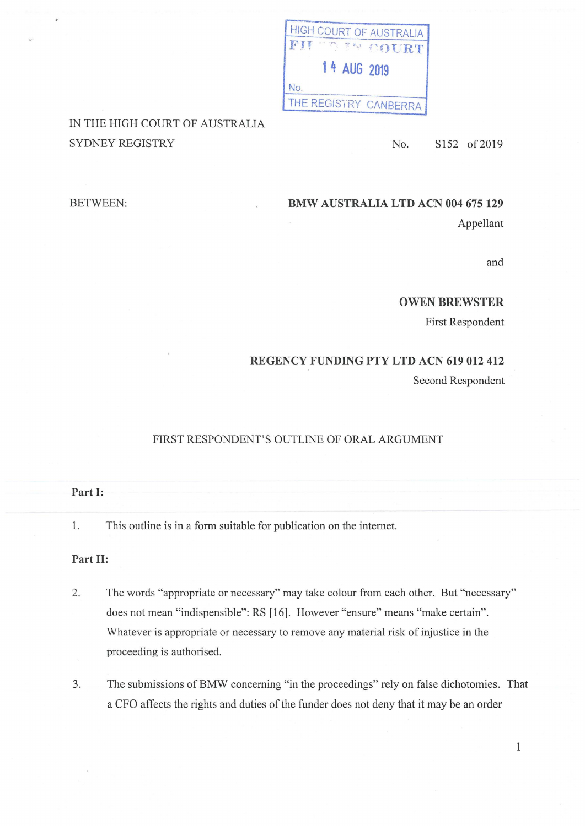| <b>HIGH COURT OF AUSTRALIA</b> |  |  |                       |
|--------------------------------|--|--|-----------------------|
|                                |  |  | FII TO EN COURT       |
|                                |  |  | 14 AUG 2019           |
| No.                            |  |  |                       |
|                                |  |  | THE REGISTRY CANBERRA |

# IN THE HIGH COURT OF AUSTRALIA SYDNEY REGISTRY No. S152 of 2019

## **BMW AUSTRALIA LTD ACN 004 675 129**

Appellant

and

### **OWEN BREWSTER**

First Respondent

### **REGENCY FUNDING PTY LTD ACN 619 012 412**

Second Respondent

#### FIRST RESPONDENT'S OUTLINE OF ORAL ARGUMENT

#### **Part I:**

BETWEEN:

1. This outline is in a form suitable for publication on the internet.

#### **Part II:**

- 2. The words "appropriate or necessary" may take colour from each other. But "necessary" does not mean "indispensible": RS [16]. However "ensure" means "make certain". Whatever is appropriate or necessary to remove any material risk of injustice in the proceeding is authorised.
- 3. The submissions of BMW concerning "in the proceedings" rely on false dichotomies. That a CFO affects the rights and duties of the funder does not deny that it may be an order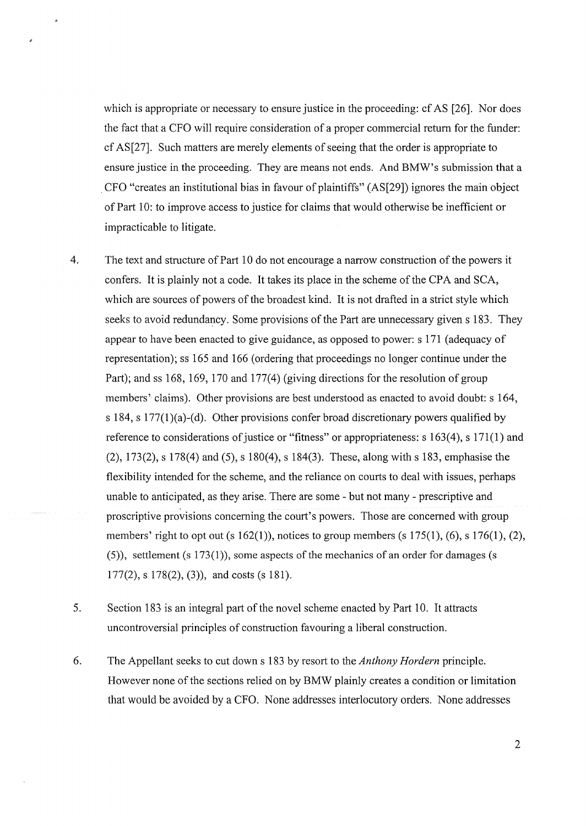which is appropriate or necessary to ensure justice in the proceeding: cf AS [26]. Nor does the fact that a CFO will require consideration of a proper commercial return for the funder: cf AS[27]. Such matters are merely elements of seeing that the order is appropriate to ensure justice in the proceeding. They are means not ends. And BMW's submission that a . CFO "creates an institutional bias in favour of plaintiffs" (AS[29]) ignores the main object of Part 10: to improve access to justice for claims that would otherwise be inefficient or impracticable to litigate.

4. The text and structure of Part 10 do not encourage a narrow construction of the powers it confers. It is plainly not a code. It takes its place in the scheme of the CPA and SCA, which are sources of powers of the broadest kind. It is not drafted in a strict style which seeks to avoid redundancy. Some provisions of the Part are unnecessary given s 183. They appear to have been enacted to give guidance, as opposed to power: s 171 (adequacy of representation); ss 165 and 166 (ordering that proceedings no longer continue under the Part); and ss 168, 169, 170 and 177(4) (giving directions for the resolution of group members' claims). Other provisions are best understood as enacted to avoid doubt: s 164, s 184, s 177(1)(a)-(d). Other provisions confer broad discretionary powers qualified by reference to considerations of justice or "fitness" or appropriateness:  $s 163(4)$ ,  $s 171(1)$  and (2), 173(2), s 178(4) and (5), s 180(4), s 184(3). These, along withs 183, emphasise the flexibility intended for the scheme, and the reliance on courts to deal with issues, perhaps unable to anticipated, as they arise. There are some - but not many - prescriptive and proscriptive provisions concerning the court's powers. Those are concerned with group members' right to opt out (s  $162(1)$ ), notices to group members (s  $175(1)$ ,  $(6)$ , s  $176(1)$ ,  $(2)$ , (5)), settlement (s 173(1)), some aspects of the mechanics of an order for damages (s  $177(2)$ , s  $178(2)$ , (3)), and costs (s 181).

- 5. Section 183 is an integral part of the novel scheme enacted by Part 10. It attracts uncontroversial principles of construction favouring a liberal construction.
- 6. The Appellant seeks to cut down s 183 by resort to the *Anthony Hordern* principle. However none of the sections relied on by BMW plainly creates a condition or limitation that would be avoided by a CFO. None addresses interlocutory orders. None addresses

2